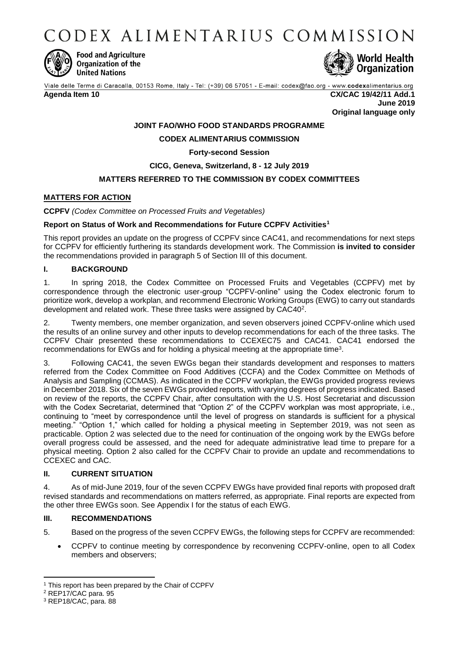CODEX ALIMENTARIUS COMMISSION



**Food and Agriculture** Organization of the **United Nations** 



Viale delle Terme di Caracalla, 00153 Rome, Italy - Tel: (+39) 06 57051 - E-mail: codex@fao.org - www.codexalimentarius.org

**Agenda Item 10 CX/CAC 19/42/11 Add.1 June 2019 Original language only**

# **JOINT FAO/WHO FOOD STANDARDS PROGRAMME**

# **CODEX ALIMENTARIUS COMMISSION**

## **Forty-second Session**

## **CICG, Geneva, Switzerland, 8 - 12 July 2019**

## **MATTERS REFERRED TO THE COMMISSION BY CODEX COMMITTEES**

### **MATTERS FOR ACTION**

**CCPFV** *(Codex Committee on Processed Fruits and Vegetables)*

#### **Report on Status of Work and Recommendations for Future CCPFV Activities<sup>1</sup>**

This report provides an update on the progress of CCPFV since CAC41, and recommendations for next steps for CCPFV for efficiently furthering its standards development work. The Commission **is invited to consider** the recommendations provided in paragraph 5 of Section III of this document.

#### **I. BACKGROUND**

1. In spring 2018, the Codex Committee on Processed Fruits and Vegetables (CCPFV) met by correspondence through the electronic user-group "CCPFV-online" using the Codex electronic forum to prioritize work, develop a workplan, and recommend Electronic Working Groups (EWG) to carry out standards development and related work. These three tasks were assigned by CAC40<sup>2</sup>.

2. Twenty members, one member organization, and seven observers joined CCPFV-online which used the results of an online survey and other inputs to develop recommendations for each of the three tasks. The CCPFV Chair presented these recommendations to CCEXEC75 and CAC41. CAC41 endorsed the recommendations for EWGs and for holding a physical meeting at the appropriate time<sup>3</sup>.

3. Following CAC41, the seven EWGs began their standards development and responses to matters referred from the Codex Committee on Food Additives (CCFA) and the Codex Committee on Methods of Analysis and Sampling (CCMAS). As indicated in the CCPFV workplan, the EWGs provided progress reviews in December 2018. Six of the seven EWGs provided reports, with varying degrees of progress indicated. Based on review of the reports, the CCPFV Chair, after consultation with the U.S. Host Secretariat and discussion with the Codex Secretariat, determined that "Option 2" of the CCPFV workplan was most appropriate, i.e., continuing to "meet by correspondence until the level of progress on standards is sufficient for a physical meeting." "Option 1," which called for holding a physical meeting in September 2019, was not seen as practicable. Option 2 was selected due to the need for continuation of the ongoing work by the EWGs before overall progress could be assessed, and the need for adequate administrative lead time to prepare for a physical meeting. Option 2 also called for the CCPFV Chair to provide an update and recommendations to CCEXEC and CAC.

## **II. CURRENT SITUATION**

4. As of mid-June 2019, four of the seven CCPFV EWGs have provided final reports with proposed draft revised standards and recommendations on matters referred, as appropriate. Final reports are expected from the other three EWGs soon. See Appendix I for the status of each EWG.

# **III. RECOMMENDATIONS**

5. Based on the progress of the seven CCPFV EWGs, the following steps for CCPFV are recommended:

 CCPFV to continue meeting by correspondence by reconvening CCPFV-online, open to all Codex members and observers;

**<sup>.</sup>** <sup>1</sup> This report has been prepared by the Chair of CCPFV

<sup>2</sup> REP17/CAC para. 95

<sup>3</sup> REP18/CAC, para. 88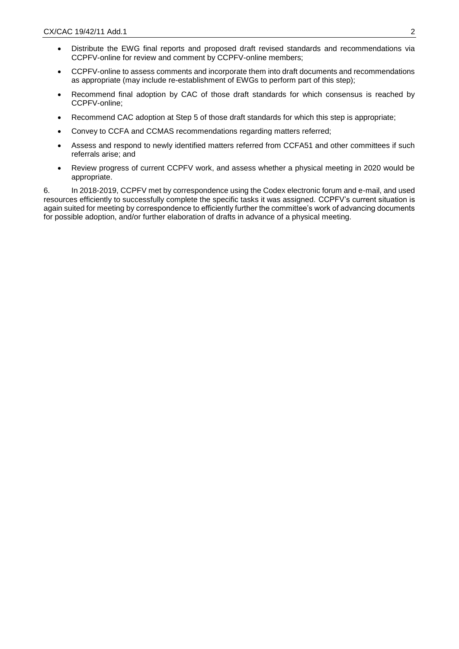- Distribute the EWG final reports and proposed draft revised standards and recommendations via CCPFV-online for review and comment by CCPFV-online members;
- CCPFV-online to assess comments and incorporate them into draft documents and recommendations as appropriate (may include re-establishment of EWGs to perform part of this step);
- Recommend final adoption by CAC of those draft standards for which consensus is reached by CCPFV-online;
- Recommend CAC adoption at Step 5 of those draft standards for which this step is appropriate;
- Convey to CCFA and CCMAS recommendations regarding matters referred;
- Assess and respond to newly identified matters referred from CCFA51 and other committees if such referrals arise; and
- Review progress of current CCPFV work, and assess whether a physical meeting in 2020 would be appropriate.

6. In 2018-2019, CCPFV met by correspondence using the Codex electronic forum and e-mail, and used resources efficiently to successfully complete the specific tasks it was assigned. CCPFV's current situation is again suited for meeting by correspondence to efficiently further the committee's work of advancing documents for possible adoption, and/or further elaboration of drafts in advance of a physical meeting.